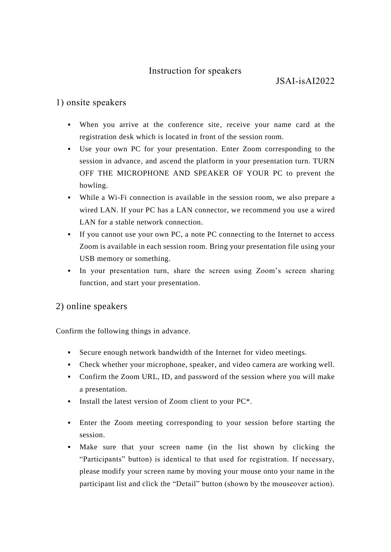## Instruction for speakers

## 1) onsite speakers

- When you arrive at the conference site, receive your name card at the registration desk which is located in front of the session room.
- Use your own PC for your presentation. Enter Zoom corresponding to the session in advance, and ascend the platform in your presentation turn. TURN OFF THE MICROPHONE AND SPEAKER OF YOUR PC to prevent the howling.
- While a Wi-Fi connection is available in the session room, we also prepare a wired LAN. If your PC has a LAN connector, we recommend you use a wired LAN for a stable network connection.
- If you cannot use your own PC, a note PC connecting to the Internet to access Zoom is available in each session room. Bring your presentation file using your USB memory or something.
- In your presentation turn, share the screen using Zoom's screen sharing function, and start your presentation.

## 2) online speakers

Confirm the following things in advance.

- Secure enough network bandwidth of the Internet for video meetings.
- Check whether your microphone, speaker, and video camera are working well.
- Confirm the Zoom URL, ID, and password of the session where you will make a presentation.
- **•** Install the latest version of Zoom client to your PC<sup>\*</sup>.
- **Enter the Zoom meeting corresponding to your session before starting the** session.
- Make sure that your screen name (in the list shown by clicking the "Participants" button) is identical to that used for registration. If necessary, please modify your screen name by moving your mouse onto your name in the participant list and click the "Detail" button (shown by the mouseover action).